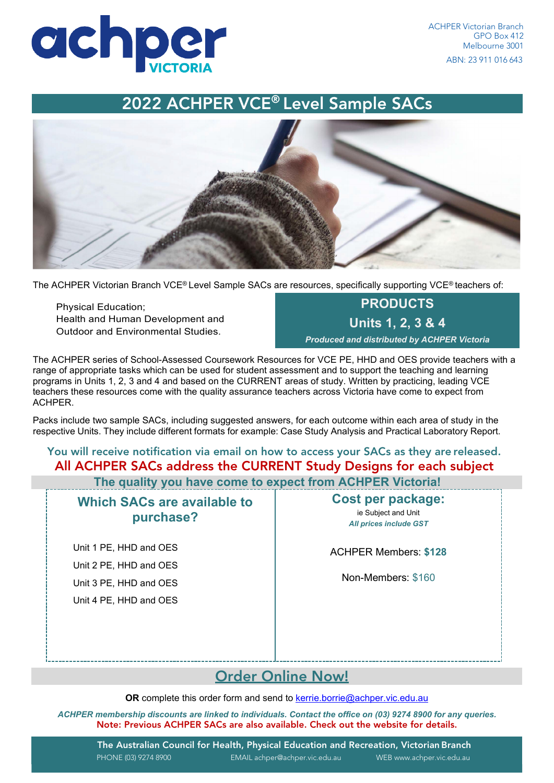

## 2022 ACHPER VCE® Level Sample SACs



The ACHPER Victorian Branch VCE® Level Sample SACs are resources, specifically supporting VCE® teachers of:

Physical Education; Health and Human Development and Outdoor and Environmental Studies.

**PRODUCTS Units 1, 2, 3 & 4** *Produced and distributed by ACHPER Victoria*

The ACHPER series of School-Assessed Coursework Resources for VCE PE, HHD and OES provide teachers with a range of appropriate tasks which can be used for student assessment and to support the teaching and learning programs in Units 1, 2, 3 and 4 and based on the CURRENT areas of study. Written by practicing, leading VCE teachers these resources come with the quality assurance teachers across Victoria have come to expect from ACHPER.

Packs include two sample SACs, including suggested answers, for each outcome within each area of study in the respective Units. They include different formats for example: Case Study Analysis and Practical Laboratory Report.

### You will receive notification via email on how to access your SACs as they are released. All ACHPER SACs address the CURRENT Study Designs for each subject

 **The quality you have come to expect from ACHPER Victoria!**

**Which SACs are available to purchase?**

Unit 1 PE, HHD and OES Unit 2 PE, HHD and OES Unit 3 PE, HHD and OES Unit 4 PE, HHD and OES **Cost per package:** ie Subject and Unit *All prices include GST*

ACHPER Members: **\$128**

Non-Members: \$160

## [Order Online Now!](https://www.achper.vic.edu.au/resources/resources/achper-school-assessed-coursework-sac-resources)

**OR** complete this order form and send to [kerrie.borrie@achper.vic.edu.au](mailto:kerrie.borrie@achper.vic.edu.au)

*ACHPER membership discounts are linked to individuals. Contact the office on (03) 9274 8900 for any queries.* Note: Previous ACHPER SACs are also available. Check out the website for details.

The Australian Council for Health, Physical Education and Recreation, Victorian Branch PHONE (03) 9274 8900 EMAI[L achper@achper.vic.edu.au](http://www.achper.vic.edu.au/) WEB [www.achper.vic.edu.au](http://www.achper.vic.edu.au/)